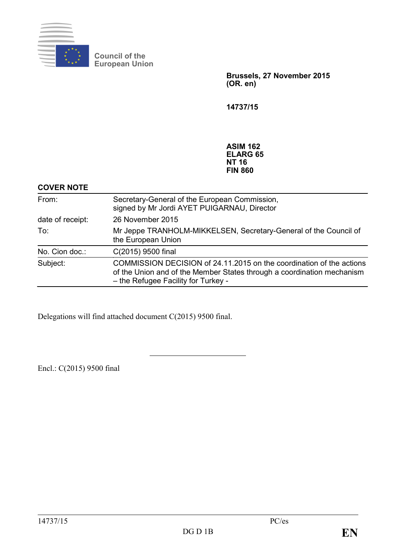

**Council of the European Union**

> **Brussels, 27 November 2015 (OR. en)**

**14737/15**

**ASIM 162 ELARG 65 NT 16 FIN 860**

#### **COVER NOTE**

| From:            | Secretary-General of the European Commission,<br>signed by Mr Jordi AYET PUIGARNAU, Director                                                                                          |
|------------------|---------------------------------------------------------------------------------------------------------------------------------------------------------------------------------------|
| date of receipt: | 26 November 2015                                                                                                                                                                      |
| To:              | Mr Jeppe TRANHOLM-MIKKELSEN, Secretary-General of the Council of<br>the European Union                                                                                                |
| No. Cion doc.:   | C(2015) 9500 final                                                                                                                                                                    |
| Subject:         | COMMISSION DECISION of 24.11.2015 on the coordination of the actions<br>of the Union and of the Member States through a coordination mechanism<br>- the Refugee Facility for Turkey - |

Delegations will find attached document C(2015) 9500 final.

Encl.: C(2015) 9500 final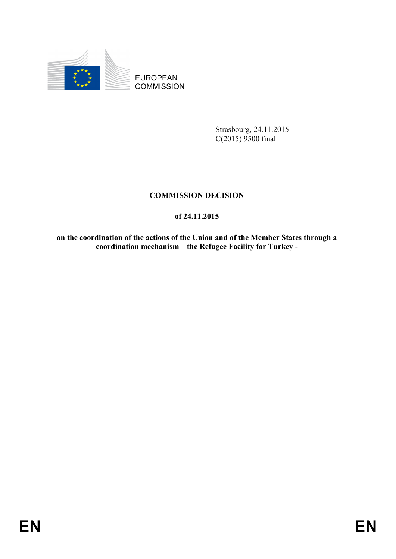

EUROPEAN **COMMISSION** 

> Strasbourg, 24.11.2015 C(2015) 9500 final

# **COMMISSION DECISION**

# **of 24.11.2015**

**on the coordination of the actions of the Union and of the Member States through a coordination mechanism – the Refugee Facility for Turkey -**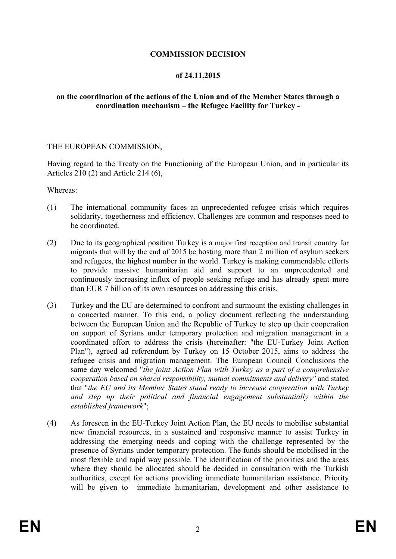# **COMMISSION DECISION**

#### **of 24.11.2015**

#### **on the coordination of the actions of the Union and of the Member States through a coordination mechanism – the Refugee Facility for Turkey -**

#### THE EUROPEAN COMMISSION,

Having regard to the Treaty on the Functioning of the European Union, and in particular its Articles 210 (2) and Article 214 (6),

Whereas:

- (1) The international community faces an unprecedented refugee crisis which requires solidarity, togetherness and efficiency. Challenges are common and responses need to be coordinated.
- (2) Due to its geographical position Turkey is a major first reception and transit country for migrants that will by the end of 2015 be hosting more than 2 million of asylum seekers and refugees, the highest number in the world. Turkey is making commendable efforts to provide massive humanitarian aid and support to an unprecedented and continuously increasing influx of people seeking refuge and has already spent more than EUR 7 billion of its own resources on addressing this crisis.
- (3) Turkey and the EU are determined to confront and surmount the existing challenges in a concerted manner. To this end, a policy document reflecting the understanding between the European Union and the Republic of Turkey to step up their cooperation on support of Syrians under temporary protection and migration management in a coordinated effort to address the crisis (hereinafter: "the EU-Turkey Joint Action Plan"), agreed ad referendum by Turkey on 15 October 2015, aims to address the refugee crisis and migration management. The European Council Conclusions the same day welcomed "*the joint Action Plan with Turkey as a part of a comprehensive cooperation based on shared responsibility, mutual commitments and delivery"* and stated that "*the EU and its Member States stand ready to increase cooperation with Turkey and step up their political and financial engagement substantially within the established framework*";
- (4) As foreseen in the EU-Turkey Joint Action Plan, the EU needs to mobilise substantial new financial resources, in a sustained and responsive manner to assist Turkey in addressing the emerging needs and coping with the challenge represented by the presence of Syrians under temporary protection. The funds should be mobilised in the most flexible and rapid way possible. The identification of the priorities and the areas where they should be allocated should be decided in consultation with the Turkish authorities, except for actions providing immediate humanitarian assistance. Priority will be given to immediate humanitarian, development and other assistance to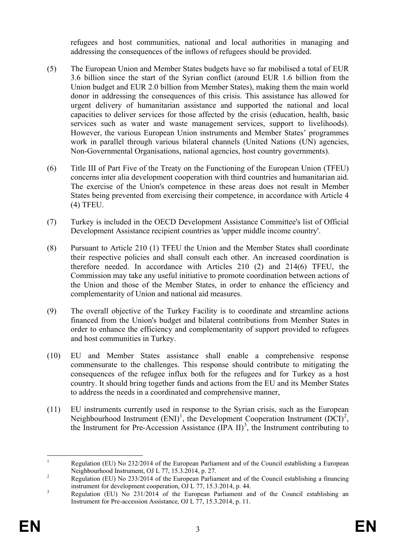refugees and host communities, national and local authorities in managing and addressing the consequences of the inflows of refugees should be provided.

- (5) The European Union and Member States budgets have so far mobilised a total of EUR 3.6 billion since the start of the Syrian conflict (around EUR 1.6 billion from the Union budget and EUR 2.0 billion from Member States), making them the main world donor in addressing the consequences of this crisis. This assistance has allowed for urgent delivery of humanitarian assistance and supported the national and local capacities to deliver services for those affected by the crisis (education, health, basic services such as water and waste management services, support to livelihoods). However, the various European Union instruments and Member States' programmes work in parallel through various bilateral channels (United Nations (UN) agencies, Non-Governmental Organisations, national agencies, host country governments).
- (6) Title III of Part Five of the Treaty on the Functioning of the European Union (TFEU) concerns inter alia development cooperation with third countries and humanitarian aid. The exercise of the Union's competence in these areas does not result in Member States being prevented from exercising their competence, in accordance with Article 4 (4) TFEU.
- (7) Turkey is included in the OECD Development Assistance Committee's list of Official Development Assistance recipient countries as 'upper middle income country'.
- (8) Pursuant to Article 210 (1) TFEU the Union and the Member States shall coordinate their respective policies and shall consult each other. An increased coordination is therefore needed. In accordance with Articles 210 (2) and 214(6) TFEU, the Commission may take any useful initiative to promote coordination between actions of the Union and those of the Member States, in order to enhance the efficiency and complementarity of Union and national aid measures.
- (9) The overall objective of the Turkey Facility is to coordinate and streamline actions financed from the Union's budget and bilateral contributions from Member States in order to enhance the efficiency and complementarity of support provided to refugees and host communities in Turkey.
- (10) EU and Member States assistance shall enable a comprehensive response commensurate to the challenges. This response should contribute to mitigating the consequences of the refugee influx both for the refugees and for Turkey as a host country. It should bring together funds and actions from the EU and its Member States to address the needs in a coordinated and comprehensive manner,
- (11) EU instruments currently used in response to the Syrian crisis, such as the European Neighbourhood Instrument  $(ENI)^1$  $(ENI)^1$ , the Development Cooperation Instrument  $(DCI)^2$  $(DCI)^2$ , the Instrument for Pre-Accession Assistance  $(IPA II)^3$  $(IPA II)^3$ , the Instrument contributing to

<span id="page-3-0"></span><sup>&</sup>lt;sup>1</sup> Regulation (EU) No 232/2014 of the European Parliament and of the Council establishing a European Neighbourhood Instrument, OJ L 77, 15.3.2014, p. 27.

<span id="page-3-1"></span>Regulation (EU) No 233/2014 of the European Parliament and of the Council establishing a financing instrument for development cooperation, OJ L 77, 15.3.2014, p. 44.

<span id="page-3-2"></span> $\frac{1}{3}$  Regulation (EU) No 231/2014 of the European Parliament and of the Council establishing an Instrument for Pre-accession Assistance, OJ L 77, 15.3.2014, p. 11.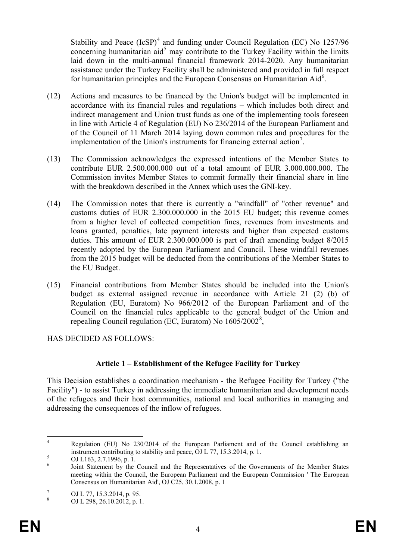Stability and Peace  $(IcSP)^4$  $(IcSP)^4$  and funding under Council Regulation (EC) No 1257/96 concerning humanitarian aid<sup>[5](#page-4-1)</sup> may contribute to the Turkey Facility within the limits laid down in the multi-annual financial framework 2014-2020. Any humanitarian assistance under the Turkey Facility shall be administered and provided in full respect for humanitarian principles and the European Consensus on Humanitarian Aid<sup>[6](#page-4-2)</sup>.

- (12) Actions and measures to be financed by the Union's budget will be implemented in accordance with its financial rules and regulations – which includes both direct and indirect management and Union trust funds as one of the implementing tools foreseen in line with Article 4 of Regulation (EU) No 236/2014 of the European Parliament and of the Council of 11 March 2014 laying down common rules and procedures for the implementation of the Union's instruments for financing external action<sup>[7](#page-4-3)</sup>.
- (13) The Commission acknowledges the expressed intentions of the Member States to contribute EUR 2.500.000.000 out of a total amount of EUR 3.000.000.000. The Commission invites Member States to commit formally their financial share in line with the breakdown described in the Annex which uses the GNI-key.
- (14) The Commission notes that there is currently a "windfall" of "other revenue" and customs duties of EUR 2.300.000.000 in the 2015 EU budget; this revenue comes from a higher level of collected competition fines, revenues from investments and loans granted, penalties, late payment interests and higher than expected customs duties. This amount of EUR 2.300.000.000 is part of draft amending budget 8/2015 recently adopted by the European Parliament and Council. These windfall revenues from the 2015 budget will be deducted from the contributions of the Member States to the EU Budget.
- (15) Financial contributions from Member States should be included into the Union's budget as external assigned revenue in accordance with Article 21 (2) (b) of Regulation (EU, Euratom) No 966/2012 of the European Parliament and of the Council on the financial rules applicable to the general budget of the Union and repealing Council regulation (EC, Euratom) No 1605/2002<sup>[8](#page-4-4)</sup>,

HAS DECIDED AS FOLLOWS:

# **Article 1 – Establishment of the Refugee Facility for Turkey**

This Decision establishes a coordination mechanism - the Refugee Facility for Turkey ("the Facility") - to assist Turkey in addressing the immediate humanitarian and development needs of the refugees and their host communities, national and local authorities in managing and addressing the consequences of the inflow of refugees.

<span id="page-4-0"></span> <sup>4</sup> Regulation (EU) No 230/2014 of the European Parliament and of the Council establishing an instrument contributing to stability and peace, OJ L 77, 15.3.2014, p. 1.<br>
5 OJ L163, 2.7.1996, p. 1.<br>
<sup>6</sup> Joint Statement by the Council and the Representatives of the Governments of the Member States

<span id="page-4-2"></span><span id="page-4-1"></span>meeting within the Council, the European Parliament and the European Commission ' The European Consensus on Humanitarian Aid', OJ C25, 30.1.2008, p. 1

<span id="page-4-3"></span> $\frac{7}{8}$  OJ L 77, 15.3.2014, p. 95.<br>OJ L 298, 26.10.2012, p. 1.

<span id="page-4-4"></span>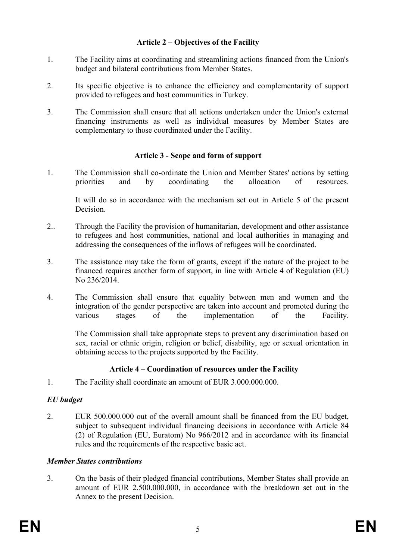# **Article 2 – Objectives of the Facility**

- 1. The Facility aims at coordinating and streamlining actions financed from the Union's budget and bilateral contributions from Member States.
- 2. Its specific objective is to enhance the efficiency and complementarity of support provided to refugees and host communities in Turkey.
- 3. The Commission shall ensure that all actions undertaken under the Union's external financing instruments as well as individual measures by Member States are complementary to those coordinated under the Facility.

#### **Article 3 - Scope and form of support**

1. The Commission shall co-ordinate the Union and Member States' actions by setting priorities and by coordinating the allocation of resources.

It will do so in accordance with the mechanism set out in Article 5 of the present **Decision** 

- 2.. Through the Facility the provision of humanitarian, development and other assistance to refugees and host communities, national and local authorities in managing and addressing the consequences of the inflows of refugees will be coordinated.
- 3. The assistance may take the form of grants, except if the nature of the project to be financed requires another form of support, in line with Article 4 of Regulation (EU) No 236/2014.
- 4. The Commission shall ensure that equality between men and women and the integration of the gender perspective are taken into account and promoted during the various stages of the implementation of the Facility.

The Commission shall take appropriate steps to prevent any discrimination based on sex, racial or ethnic origin, religion or belief, disability, age or sexual orientation in obtaining access to the projects supported by the Facility.

# **Article 4** – **Coordination of resources under the Facility**

1. The Facility shall coordinate an amount of EUR 3.000.000.000.

# *EU budget*

2. EUR 500.000.000 out of the overall amount shall be financed from the EU budget, subject to subsequent individual financing decisions in accordance with Article 84 (2) of Regulation (EU, Euratom) No 966/2012 and in accordance with its financial rules and the requirements of the respective basic act.

#### *Member States contributions*

3. On the basis of their pledged financial contributions, Member States shall provide an amount of EUR 2.500.000.000, in accordance with the breakdown set out in the Annex to the present Decision.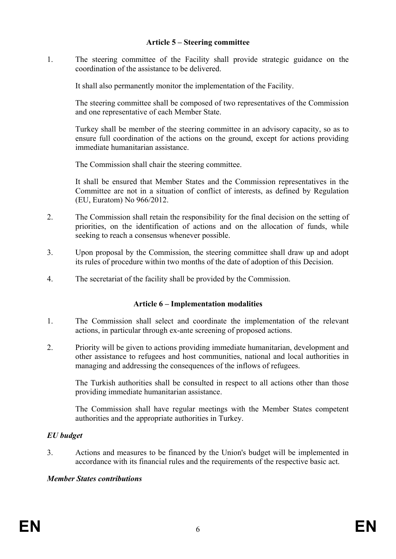#### **Article 5 – Steering committee**

1. The steering committee of the Facility shall provide strategic guidance on the coordination of the assistance to be delivered.

It shall also permanently monitor the implementation of the Facility.

The steering committee shall be composed of two representatives of the Commission and one representative of each Member State.

Turkey shall be member of the steering committee in an advisory capacity, so as to ensure full coordination of the actions on the ground, except for actions providing immediate humanitarian assistance.

The Commission shall chair the steering committee.

It shall be ensured that Member States and the Commission representatives in the Committee are not in a situation of conflict of interests, as defined by Regulation (EU, Euratom) No 966/2012.

- 2. The Commission shall retain the responsibility for the final decision on the setting of priorities, on the identification of actions and on the allocation of funds, while seeking to reach a consensus whenever possible.
- 3. Upon proposal by the Commission, the steering committee shall draw up and adopt its rules of procedure within two months of the date of adoption of this Decision.
- 4. The secretariat of the facility shall be provided by the Commission.

# **Article 6 – Implementation modalities**

- 1. The Commission shall select and coordinate the implementation of the relevant actions, in particular through ex-ante screening of proposed actions.
- 2. Priority will be given to actions providing immediate humanitarian, development and other assistance to refugees and host communities, national and local authorities in managing and addressing the consequences of the inflows of refugees.

The Turkish authorities shall be consulted in respect to all actions other than those providing immediate humanitarian assistance.

The Commission shall have regular meetings with the Member States competent authorities and the appropriate authorities in Turkey.

# *EU budget*

3. Actions and measures to be financed by the Union's budget will be implemented in accordance with its financial rules and the requirements of the respective basic act.

# *Member States contributions*